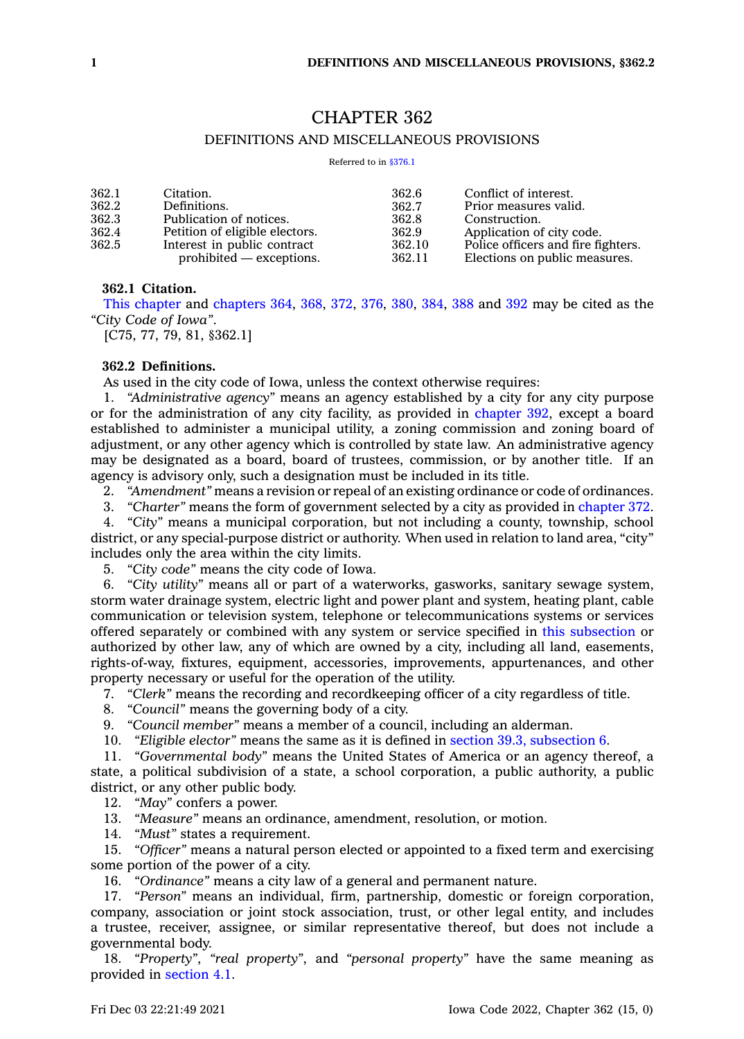# CHAPTER 362

# DEFINITIONS AND MISCELLANEOUS PROVISIONS

Referred to in [§376.1](https://www.legis.iowa.gov/docs/code/376.1.pdf)

| 362.1 | Citation.                      | 362.6  | Conflict of interest.              |
|-------|--------------------------------|--------|------------------------------------|
| 362.2 | Definitions.                   | 362.7  | Prior measures valid.              |
| 362.3 | Publication of notices.        | 362.8  | Construction.                      |
| 362.4 | Petition of eligible electors. | 362.9  | Application of city code.          |
| 362.5 | Interest in public contract    | 362.10 | Police officers and fire fighters. |
|       | $prohibited - exceptions.$     | 362.11 | Elections on public measures.      |

## **362.1 Citation.**

This [chapter](https://www.legis.iowa.gov/docs/code//362.pdf) and [chapters](https://www.legis.iowa.gov/docs/code//364.pdf) 364, [368](https://www.legis.iowa.gov/docs/code//368.pdf), [372](https://www.legis.iowa.gov/docs/code//372.pdf), [376](https://www.legis.iowa.gov/docs/code//376.pdf), [380](https://www.legis.iowa.gov/docs/code//380.pdf), [384](https://www.legis.iowa.gov/docs/code//384.pdf), [388](https://www.legis.iowa.gov/docs/code//388.pdf) and [392](https://www.legis.iowa.gov/docs/code//392.pdf) may be cited as the *"City Code of Iowa"*.

[C75, 77, 79, 81, §362.1]

## **362.2 Definitions.**

As used in the city code of Iowa, unless the context otherwise requires:

1. *"Administrative agency"* means an agency established by <sup>a</sup> city for any city purpose or for the administration of any city facility, as provided in [chapter](https://www.legis.iowa.gov/docs/code//392.pdf) 392, except <sup>a</sup> board established to administer <sup>a</sup> municipal utility, <sup>a</sup> zoning commission and zoning board of adjustment, or any other agency which is controlled by state law. An administrative agency may be designated as <sup>a</sup> board, board of trustees, commission, or by another title. If an agency is advisory only, such <sup>a</sup> designation must be included in its title.

2. *"Amendment"* means <sup>a</sup> revision or repeal of an existing ordinance or code of ordinances.

3. *"Charter"* means the form of government selected by <sup>a</sup> city as provided in [chapter](https://www.legis.iowa.gov/docs/code//372.pdf) 372.

4. *"City"* means <sup>a</sup> municipal corporation, but not including <sup>a</sup> county, township, school district, or any special-purpose district or authority. When used in relation to land area, "city" includes only the area within the city limits.

5. *"City code"* means the city code of Iowa.

6. *"City utility"* means all or part of <sup>a</sup> waterworks, gasworks, sanitary sewage system, storm water drainage system, electric light and power plant and system, heating plant, cable communication or television system, telephone or telecommunications systems or services offered separately or combined with any system or service specified in this [subsection](https://www.legis.iowa.gov/docs/code/362.2.pdf) or authorized by other law, any of which are owned by <sup>a</sup> city, including all land, easements, rights-of-way, fixtures, equipment, accessories, improvements, appurtenances, and other property necessary or useful for the operation of the utility.

7. *"Clerk"* means the recording and recordkeeping officer of <sup>a</sup> city regardless of title.

8. *"Council"* means the governing body of <sup>a</sup> city.

9. *"Council member"* means <sup>a</sup> member of <sup>a</sup> council, including an alderman.

10. *"Eligible elector"* means the same as it is defined in section 39.3, [subsection](https://www.legis.iowa.gov/docs/code/39.3.pdf) 6.

11. *"Governmental body"* means the United States of America or an agency thereof, <sup>a</sup> state, <sup>a</sup> political subdivision of <sup>a</sup> state, <sup>a</sup> school corporation, <sup>a</sup> public authority, <sup>a</sup> public district, or any other public body.

12. *"May"* confers <sup>a</sup> power.

13. *"Measure"* means an ordinance, amendment, resolution, or motion.

14. *"Must"* states <sup>a</sup> requirement.

15. *"Officer"* means <sup>a</sup> natural person elected or appointed to <sup>a</sup> fixed term and exercising some portion of the power of <sup>a</sup> city.

16. *"Ordinance"* means <sup>a</sup> city law of <sup>a</sup> general and permanent nature.

17. *"Person"* means an individual, firm, partnership, domestic or foreign corporation, company, association or joint stock association, trust, or other legal entity, and includes <sup>a</sup> trustee, receiver, assignee, or similar representative thereof, but does not include <sup>a</sup> governmental body.

18. *"Property"*, *"real property"*, and *"personal property"* have the same meaning as provided in [section](https://www.legis.iowa.gov/docs/code/4.1.pdf) 4.1.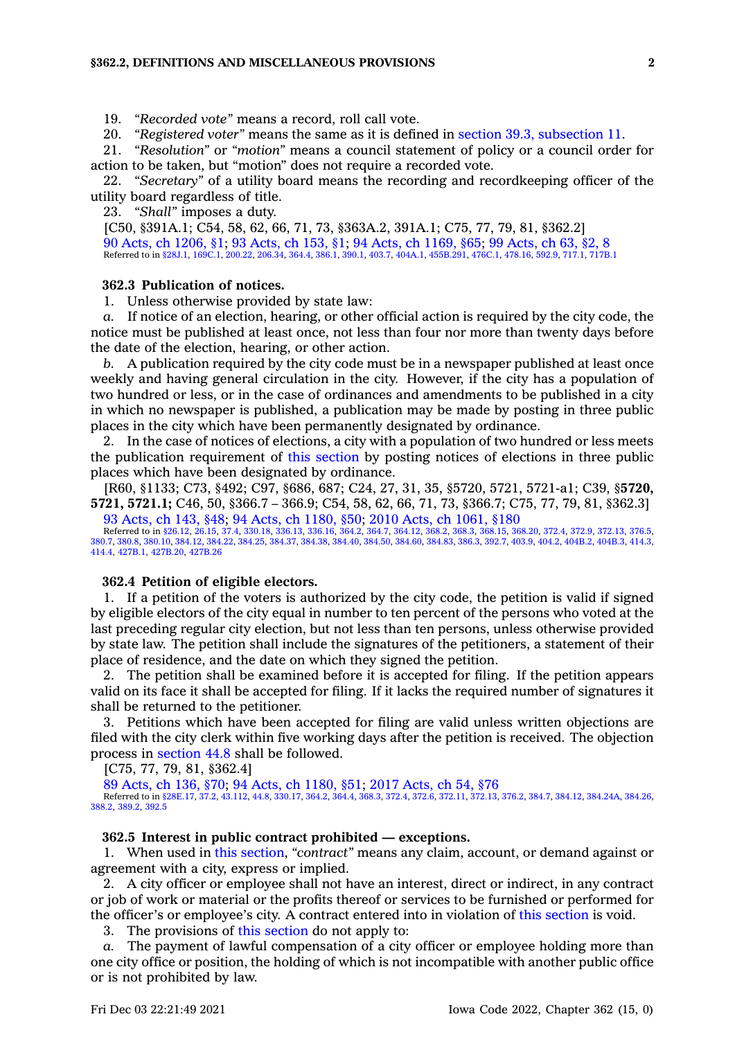19. *"Recorded vote"* means <sup>a</sup> record, roll call vote.

20. *"Registered voter"* means the same as it is defined in section 39.3, [subsection](https://www.legis.iowa.gov/docs/code/39.3.pdf) 11.

21. *"Resolution"* or *"motion"* means <sup>a</sup> council statement of policy or <sup>a</sup> council order for action to be taken, but "motion" does not require <sup>a</sup> recorded vote.

22. *"Secretary"* of <sup>a</sup> utility board means the recording and recordkeeping officer of the utility board regardless of title.

23. *"Shall"* imposes <sup>a</sup> duty.

[C50, §391A.1; C54, 58, 62, 66, 71, 73, §363A.2, 391A.1; C75, 77, 79, 81, §362.2] 90 Acts, ch [1206,](https://www.legis.iowa.gov/docs/acts/1990/CH1206.pdf) §1; 93 [Acts,](https://www.legis.iowa.gov/docs/acts/1993/CH0153.pdf) ch 153, §1; 94 Acts, ch [1169,](https://www.legis.iowa.gov/docs/acts/1994/CH1169.pdf) §65; 99 [Acts,](https://www.legis.iowa.gov/docs/acts/1999/CH0063.pdf) ch 63, §2, 8 Referred to in [§28J.1](https://www.legis.iowa.gov/docs/code/28J.1.pdf), [169C.1](https://www.legis.iowa.gov/docs/code/169C.1.pdf), [200.22](https://www.legis.iowa.gov/docs/code/200.22.pdf), [206.34](https://www.legis.iowa.gov/docs/code/206.34.pdf), [364.4](https://www.legis.iowa.gov/docs/code/364.4.pdf), [386.1](https://www.legis.iowa.gov/docs/code/386.1.pdf), [390.1,](https://www.legis.iowa.gov/docs/code/390.1.pdf) [403.7](https://www.legis.iowa.gov/docs/code/403.7.pdf), [404A.1](https://www.legis.iowa.gov/docs/code/404A.1.pdf), [455B.291](https://www.legis.iowa.gov/docs/code/455B.291.pdf), [476C.1](https://www.legis.iowa.gov/docs/code/476C.1.pdf), [478.16](https://www.legis.iowa.gov/docs/code/478.16.pdf), [592.9,](https://www.legis.iowa.gov/docs/code/592.9.pdf) [717.1](https://www.legis.iowa.gov/docs/code/717.1.pdf), [717B.1](https://www.legis.iowa.gov/docs/code/717B.1.pdf)

## **362.3 Publication of notices.**

1. Unless otherwise provided by state law:

If notice of an election, hearing, or other official action is required by the city code, the notice must be published at least once, not less than four nor more than twenty days before the date of the election, hearing, or other action.

*b.* A publication required by the city code must be in <sup>a</sup> newspaper published at least once weekly and having general circulation in the city. However, if the city has <sup>a</sup> population of two hundred or less, or in the case of ordinances and amendments to be published in <sup>a</sup> city in which no newspaper is published, <sup>a</sup> publication may be made by posting in three public places in the city which have been permanently designated by ordinance.

2. In the case of notices of elections, <sup>a</sup> city with <sup>a</sup> population of two hundred or less meets the publication requirement of this [section](https://www.legis.iowa.gov/docs/code/362.3.pdf) by posting notices of elections in three public places which have been designated by ordinance.

[R60, §1133; C73, §492; C97, §686, 687; C24, 27, 31, 35, §5720, 5721, 5721-a1; C39, §**5720, 5721, 5721.1;** C46, 50, §366.7 – 366.9; C54, 58, 62, 66, 71, 73, §366.7; C75, 77, 79, 81, §362.3]

93 [Acts,](https://www.legis.iowa.gov/docs/acts/1993/CH0143.pdf) ch 143, §48; 94 Acts, ch [1180,](https://www.legis.iowa.gov/docs/acts/94/CH1180.pdf) §50; 2010 Acts, ch [1061,](https://www.legis.iowa.gov/docs/acts/2010/CH1061.pdf) §180 Referred to in [§26.12](https://www.legis.iowa.gov/docs/code/26.12.pdf), [26.15](https://www.legis.iowa.gov/docs/code/26.15.pdf), [37.4,](https://www.legis.iowa.gov/docs/code/37.4.pdf) [330.18](https://www.legis.iowa.gov/docs/code/330.18.pdf), [336.13](https://www.legis.iowa.gov/docs/code/336.13.pdf), [336.16](https://www.legis.iowa.gov/docs/code/336.16.pdf), [364.2](https://www.legis.iowa.gov/docs/code/364.2.pdf), [364.7](https://www.legis.iowa.gov/docs/code/364.7.pdf), [364.12](https://www.legis.iowa.gov/docs/code/364.12.pdf), [368.2](https://www.legis.iowa.gov/docs/code/368.2.pdf), [368.3](https://www.legis.iowa.gov/docs/code/368.3.pdf), [368.15](https://www.legis.iowa.gov/docs/code/368.15.pdf), [368.20](https://www.legis.iowa.gov/docs/code/368.20.pdf), [372.4](https://www.legis.iowa.gov/docs/code/372.4.pdf), [372.9](https://www.legis.iowa.gov/docs/code/372.9.pdf), [372.13](https://www.legis.iowa.gov/docs/code/372.13.pdf), [376.5](https://www.legis.iowa.gov/docs/code/376.5.pdf),

[380.7](https://www.legis.iowa.gov/docs/code/380.7.pdf), [380.8,](https://www.legis.iowa.gov/docs/code/380.8.pdf) [380.10](https://www.legis.iowa.gov/docs/code/380.10.pdf), [384.12](https://www.legis.iowa.gov/docs/code/384.12.pdf), [384.22](https://www.legis.iowa.gov/docs/code/384.22.pdf), [384.25](https://www.legis.iowa.gov/docs/code/384.25.pdf), [384.37](https://www.legis.iowa.gov/docs/code/384.37.pdf), [384.38](https://www.legis.iowa.gov/docs/code/384.38.pdf), [384.40](https://www.legis.iowa.gov/docs/code/384.40.pdf), [384.50](https://www.legis.iowa.gov/docs/code/384.50.pdf), [384.60](https://www.legis.iowa.gov/docs/code/384.60.pdf), [384.83](https://www.legis.iowa.gov/docs/code/384.83.pdf), [386.3](https://www.legis.iowa.gov/docs/code/386.3.pdf), [392.7](https://www.legis.iowa.gov/docs/code/392.7.pdf), [403.9](https://www.legis.iowa.gov/docs/code/403.9.pdf), [404.2](https://www.legis.iowa.gov/docs/code/404.2.pdf), [404B.2](https://www.legis.iowa.gov/docs/code/404B.2.pdf), [404B.3,](https://www.legis.iowa.gov/docs/code/404B.3.pdf) [414.3](https://www.legis.iowa.gov/docs/code/414.3.pdf), [414.4](https://www.legis.iowa.gov/docs/code/414.4.pdf), [427B.1](https://www.legis.iowa.gov/docs/code/427B.1.pdf), [427B.20](https://www.legis.iowa.gov/docs/code/427B.20.pdf), [427B.26](https://www.legis.iowa.gov/docs/code/427B.26.pdf)

#### **362.4 Petition of eligible electors.**

1. If <sup>a</sup> petition of the voters is authorized by the city code, the petition is valid if signed by eligible electors of the city equal in number to ten percent of the persons who voted at the last preceding regular city election, but not less than ten persons, unless otherwise provided by state law. The petition shall include the signatures of the petitioners, <sup>a</sup> statement of their place of residence, and the date on which they signed the petition.

2. The petition shall be examined before it is accepted for filing. If the petition appears valid on its face it shall be accepted for filing. If it lacks the required number of signatures it shall be returned to the petitioner.

3. Petitions which have been accepted for filing are valid unless written objections are filed with the city clerk within five working days after the petition is received. The objection process in [section](https://www.legis.iowa.gov/docs/code/44.8.pdf) 44.8 shall be followed.

[C75, 77, 79, 81, §362.4]

89 [Acts,](https://www.legis.iowa.gov/docs/acts/1989/CH0136.pdf) ch 136, §70; 94 Acts, ch [1180,](https://www.legis.iowa.gov/docs/acts/94/CH1180.pdf) §51; 2017 [Acts,](https://www.legis.iowa.gov/docs/acts/2017/CH0054.pdf) ch 54, §76

Referred to in [§28E.17](https://www.legis.iowa.gov/docs/code/28E.17.pdf), [37.2](https://www.legis.iowa.gov/docs/code/37.2.pdf), [43.112](https://www.legis.iowa.gov/docs/code/43.112.pdf), [44.8](https://www.legis.iowa.gov/docs/code/44.8.pdf), [330.17](https://www.legis.iowa.gov/docs/code/330.17.pdf), [364.2](https://www.legis.iowa.gov/docs/code/364.2.pdf), [364.4](https://www.legis.iowa.gov/docs/code/364.4.pdf), [368.3](https://www.legis.iowa.gov/docs/code/368.3.pdf), [372.4](https://www.legis.iowa.gov/docs/code/372.4.pdf), [372.6](https://www.legis.iowa.gov/docs/code/372.6.pdf), [372.11](https://www.legis.iowa.gov/docs/code/372.11.pdf), [372.13](https://www.legis.iowa.gov/docs/code/372.13.pdf), [376.2](https://www.legis.iowa.gov/docs/code/376.2.pdf), [384.7](https://www.legis.iowa.gov/docs/code/384.7.pdf), [384.12](https://www.legis.iowa.gov/docs/code/384.12.pdf), [384.24A](https://www.legis.iowa.gov/docs/code/384.24A.pdf), [384.26](https://www.legis.iowa.gov/docs/code/384.26.pdf), [388.2](https://www.legis.iowa.gov/docs/code/388.2.pdf), [389.2](https://www.legis.iowa.gov/docs/code/389.2.pdf), [392.5](https://www.legis.iowa.gov/docs/code/392.5.pdf)

#### **362.5 Interest in public contract prohibited — exceptions.**

1. When used in this [section](https://www.legis.iowa.gov/docs/code/362.5.pdf), *"contract"* means any claim, account, or demand against or agreement with <sup>a</sup> city, express or implied.

2. A city officer or employee shall not have an interest, direct or indirect, in any contract or job of work or material or the profits thereof or services to be furnished or performed for the officer's or employee's city. A contract entered into in violation of this [section](https://www.legis.iowa.gov/docs/code/362.5.pdf) is void.

3. The provisions of this [section](https://www.legis.iowa.gov/docs/code/362.5.pdf) do not apply to:

*a.* The payment of lawful compensation of <sup>a</sup> city officer or employee holding more than one city office or position, the holding of which is not incompatible with another public office or is not prohibited by law.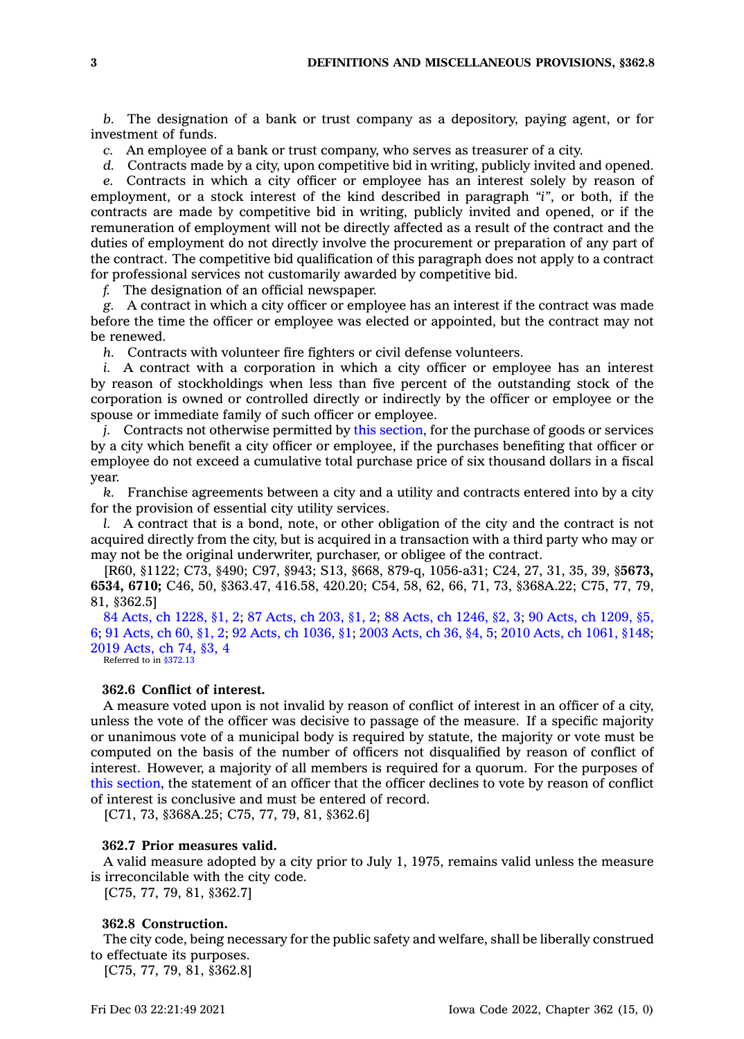*b.* The designation of <sup>a</sup> bank or trust company as <sup>a</sup> depository, paying agent, or for investment of funds.

*c.* An employee of <sup>a</sup> bank or trust company, who serves as treasurer of <sup>a</sup> city.

*d.* Contracts made by <sup>a</sup> city, upon competitive bid in writing, publicly invited and opened.

*e.* Contracts in which <sup>a</sup> city officer or employee has an interest solely by reason of employment, or <sup>a</sup> stock interest of the kind described in paragraph *"i"*, or both, if the contracts are made by competitive bid in writing, publicly invited and opened, or if the remuneration of employment will not be directly affected as <sup>a</sup> result of the contract and the duties of employment do not directly involve the procurement or preparation of any part of the contract. The competitive bid qualification of this paragraph does not apply to <sup>a</sup> contract for professional services not customarily awarded by competitive bid.

*f.* The designation of an official newspaper.

*g.* A contract in which <sup>a</sup> city officer or employee has an interest if the contract was made before the time the officer or employee was elected or appointed, but the contract may not be renewed.

*h.* Contracts with volunteer fire fighters or civil defense volunteers.

*i.* A contract with <sup>a</sup> corporation in which <sup>a</sup> city officer or employee has an interest by reason of stockholdings when less than five percent of the outstanding stock of the corporation is owned or controlled directly or indirectly by the officer or employee or the spouse or immediate family of such officer or employee.

*j.* Contracts not otherwise permitted by this [section](https://www.legis.iowa.gov/docs/code/362.5.pdf), for the purchase of goods or services by <sup>a</sup> city which benefit <sup>a</sup> city officer or employee, if the purchases benefiting that officer or employee do not exceed <sup>a</sup> cumulative total purchase price of six thousand dollars in <sup>a</sup> fiscal year.

*k.* Franchise agreements between <sup>a</sup> city and <sup>a</sup> utility and contracts entered into by <sup>a</sup> city for the provision of essential city utility services.

*l.* A contract that is <sup>a</sup> bond, note, or other obligation of the city and the contract is not acquired directly from the city, but is acquired in <sup>a</sup> transaction with <sup>a</sup> third party who may or may not be the original underwriter, purchaser, or obligee of the contract.

[R60, §1122; C73, §490; C97, §943; S13, §668, 879-q, 1056-a31; C24, 27, 31, 35, 39, §**5673, 6534, 6710;** C46, 50, §363.47, 416.58, 420.20; C54, 58, 62, 66, 71, 73, §368A.22; C75, 77, 79, 81, §362.5]

 Acts, ch [1228,](https://www.legis.iowa.gov/docs/acts/1984/CH1228.pdf) §1, 2; 87 [Acts,](https://www.legis.iowa.gov/docs/acts/87/CH0203.pdf) ch 203, §1, 2; 88 Acts, ch [1246,](https://www.legis.iowa.gov/docs/acts/88/CH1246.pdf) §2, 3; 90 Acts, ch [1209,](https://www.legis.iowa.gov/docs/acts/90/CH1209.pdf) §5, ; 91 [Acts,](https://www.legis.iowa.gov/docs/acts/91/CH0060.pdf) ch 60, §1, 2; 92 Acts, ch [1036,](https://www.legis.iowa.gov/docs/acts/92/CH1036.pdf) §1; 2003 [Acts,](https://www.legis.iowa.gov/docs/acts/2003/CH0036.pdf) ch 36, §4, 5; 2010 Acts, ch [1061,](https://www.legis.iowa.gov/docs/acts/2010/CH1061.pdf) §148; [Acts,](https://www.legis.iowa.gov/docs/acts/2019/CH0074.pdf) ch 74, §3, 4 Referred to in [§372.13](https://www.legis.iowa.gov/docs/code/372.13.pdf)

## **362.6 Conflict of interest.**

A measure voted upon is not invalid by reason of conflict of interest in an officer of <sup>a</sup> city, unless the vote of the officer was decisive to passage of the measure. If <sup>a</sup> specific majority or unanimous vote of <sup>a</sup> municipal body is required by statute, the majority or vote must be computed on the basis of the number of officers not disqualified by reason of conflict of interest. However, <sup>a</sup> majority of all members is required for <sup>a</sup> quorum. For the purposes of this [section](https://www.legis.iowa.gov/docs/code/362.6.pdf), the statement of an officer that the officer declines to vote by reason of conflict of interest is conclusive and must be entered of record.

[C71, 73, §368A.25; C75, 77, 79, 81, §362.6]

## **362.7 Prior measures valid.**

A valid measure adopted by <sup>a</sup> city prior to July 1, 1975, remains valid unless the measure is irreconcilable with the city code.

[C75, 77, 79, 81, §362.7]

## **362.8 Construction.**

The city code, being necessary for the public safety and welfare, shall be liberally construed to effectuate its purposes.

[C75, 77, 79, 81, §362.8]